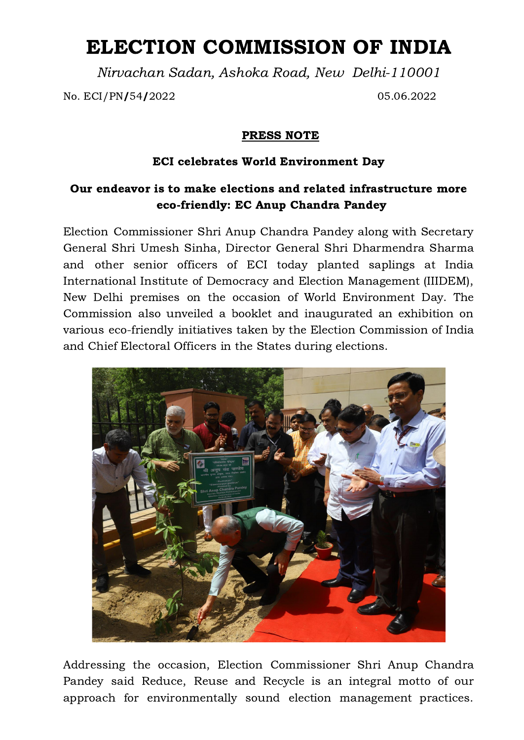## ELECTION COMMISSION OF INDIA

Nirvachan Sadan, Ashoka Road, New Delhi-110001

No. ECI/PN/54/2022 05.06.2022

## PRESS NOTE

## ECI celebrates World Environment Day

## Our endeavor is to make elections and related infrastructure more eco-friendly: EC Anup Chandra Pandey

Election Commissioner Shri Anup Chandra Pandey along with Secretary General Shri Umesh Sinha, Director General Shri Dharmendra Sharma and other senior officers of ECI today planted saplings at India International Institute of Democracy and Election Management (IIIDEM), New Delhi premises on the occasion of World Environment Day. The Commission also unveiled a booklet and inaugurated an exhibition on various eco-friendly initiatives taken by the Election Commission of India and Chief Electoral Officers in the States during elections.



Addressing the occasion, Election Commissioner Shri Anup Chandra Pandey said Reduce, Reuse and Recycle is an integral motto of our approach for environmentally sound election management practices.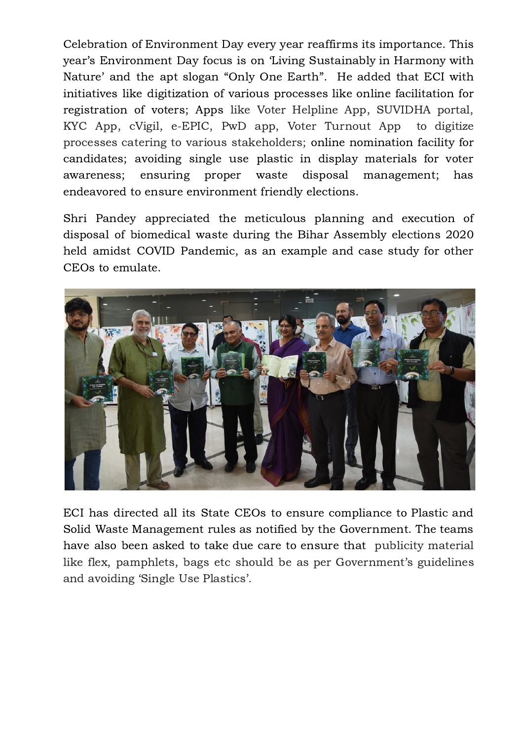Celebration of Environment Day every year reaffirms its importance. This year's Environment Day focus is on 'Living Sustainably in Harmony with Nature' and the apt slogan "Only One Earth". He added that ECI with initiatives like digitization of various processes like online facilitation for registration of voters; Apps like Voter Helpline App, SUVIDHA portal, KYC App, cVigil, e-EPIC, PwD app, Voter Turnout App to digitize processes catering to various stakeholders; online nomination facility for candidates; avoiding single use plastic in display materials for voter awareness; ensuring proper waste disposal management; has endeavored to ensure environment friendly elections.

Shri Pandey appreciated the meticulous planning and execution of disposal of biomedical waste during the Bihar Assembly elections 2020 held amidst COVID Pandemic, as an example and case study for other CEOs to emulate.



ECI has directed all its State CEOs to ensure compliance to Plastic and Solid Waste Management rules as notified by the Government. The teams have also been asked to take due care to ensure that publicity material like flex, pamphlets, bags etc should be as per Government's guidelines and avoiding 'Single Use Plastics'.